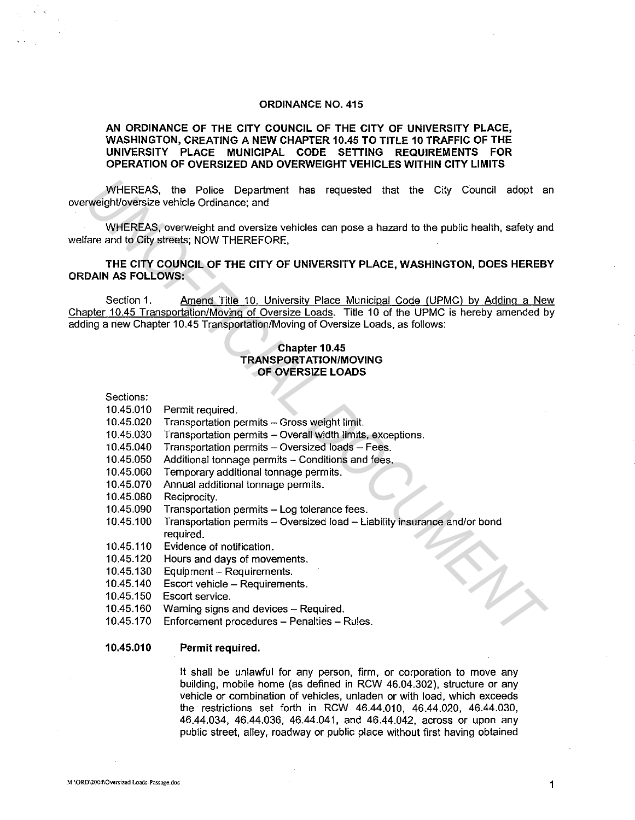### **ORDINANCE NO. 415**

# **AN ORDINANCE OF THE CITY COUNCIL OF THE CITY OF UNIVERSITY PLACE, WASHINGTON, CREATING A NEW CHAPTER 10.45 TO TITLE 10 TRAFFIC OF THE UNIVERSITY PLACE MUNICIPAL CODE SETTING REQUIREMENTS FOR OPERATION OF OVERSIZED AND OVERWEIGHT VEHICLES WITHIN CITY LIMITS**

WHEREAS, the Police Department has requested that the City Council adopt an overweighVoversize vehicle Ordinance; and

WHEREAS, overweight and oversize vehicles can pose a hazard to the public health, safety and welfare and to City streets; NOW THEREFORE,

**THE CITY COUNCIL OF THE CITY OF UNIVERSITY PLACE, WASHINGTON, DOES HEREBY ORDAIN AS FOLLOWS:** 

Section 1. Amend Title 10. University Place Municipal Code (UPMC) by Adding a New Chapter 10.45 Transportation/Moving of Oversize Loads. Title 10 of the UPMC is hereby amended by adding a new Chapter 10.45 Transportation/Moving of Oversize Loads. as follows: WHEREAS, the Police Department has requested that the City Council adopt a<br>
WHEREAS, overweight and oversize vehicle Gromance and<br>
YMHEREAS where the public health, safety an<br>
face and to City streets: NOW THEREFORE,<br>
THE

# **Chapter 10.45 TRANSPORTATION/MOVING OF OVERSIZE LOADS**

| Sections: |
|-----------|

- 10.45.010 Permit required.
- 10.45.020 Transportation permits Gross weight limit.
- 10.45.030 Transportation permits Overall width limits, exceptions.
- 10.45.040 Transportation permits Oversized loads Fees.
- 10.45.050 Additional tonnage permits Conditions and fees.
- 10.45.060 Temporary additional tonnage permits.
- 10.45.070 Annual additional tonnage permits.
- 10.45.080 Reciprocity.
- 10.45.090 Transportation permits Log tolerance fees.
- 10.45.100 Transportation permits Oversized load Liability insurance and/or bond required.
- 10.45.110 Evidence of notification.
- 10.45.120 Hours and days of movements.
- 10.45.130 Equipment Requirements.
- 10.45.140 Escort vehicle Requirements.
- 10.45.150 Escort service.
- 10.45.160 Warning signs and devices Required.
- 10.45.170 Enforcement procedures- Penalties- Rules.

## **10.45.010 Permit required.**

It shall be unlawful for any person, firm, or corporation to move any building, mobile home (as defined in RCW 46.04.302), structure or any vehicle or combination of vehicles, unladen or with load, which exceeds the restrictions set forth in RCW 46.44.010, 46.44.020, 46.44.030, 46.44.034, 46.44.036, 46.44.041, and 46.44.042, across or upon any public street, alley, roadway or public place without first having obtained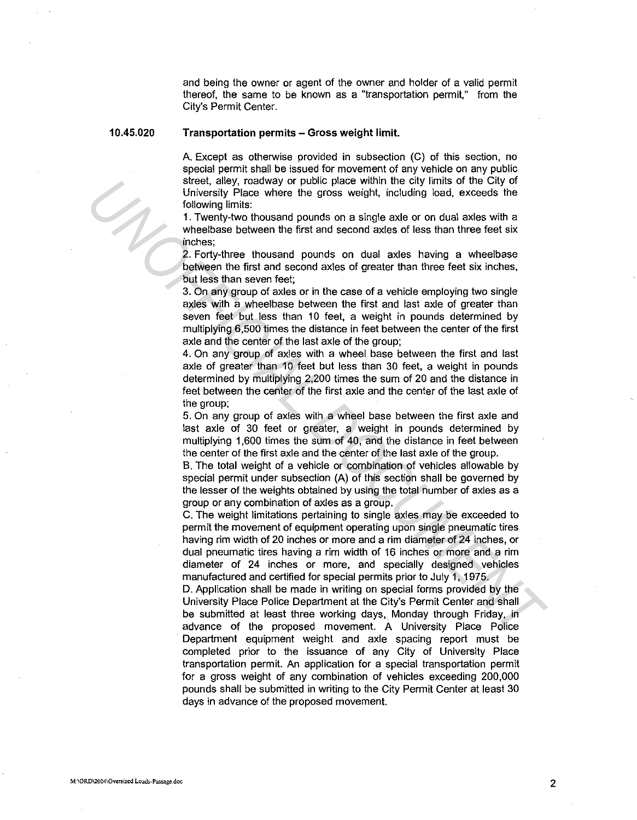and being the owner or agent of the owner and holder of a valid permit thereof, the same to be known as a "transportation permit," from the City's Permit Center.

10.45.020

### Transportation permits - Gross weight limit.

A. Except as otherwise provided in subsection (C) of this section, no special permit shall be issued for movement of any vehicle on any public street, alley, roadway or public place within the city limits of the City of University Place where the gross weight, including load, exceeds the following limits:

1 . Twenty-two thousand pounds on a single axle or on dual axles with a wheelbase between the first and second axles of less than three feet six inches;

2. Forty-three thousand pounds on dual axles having a wheelbase between the first and second axles of greater than three feet six inches, but less than seven feet;

3. On any group of axles or in the case of a vehicle employing two single axles with a wheelbase between the first and last axle of greater than seven feet but less than 10 feet, a weight in pounds determined by multiplying 6,500 times the distance in feet between the center of the first axle and the center of the last axle of the group;

4. On any group of axles with a wheel base between the first and last axle of greater than 10 feet but less than 30 feet, a weight in pounds determined by multiplying 2,200 times the sum of 20 and the distance in feet between the center of the first axle and the center of the last axle of the group;

5. On any group of axles with a wheel base between the first axle and last axle of 30 feet or greater, a weight in pounds determined by multiplying 1,600 times the sum of 40, and the distance in feet between the center of the first axle and the center of the last axle of the group.

B. The total weight of a vehicle or combination of vehicles allowable by special permit under subsection (A) of this section shall be governed by the lesser of the weights obtained by using the total number of axles as a group or any combination of axles as a group.

C. The weight limitations pertaining to single axles may be exceeded to permit the movement of equipment operating upon single pneumatic tires having rim width of 20 inches or more and a rim diameter of 24 inches, or dual pneumatic tires having a rim width of 16 inches or more and a rim diameter of 24 inches or more, and specially designed vehicles manufactured and certified for special permits prior to July 1, 1975. stret, allow, roadway or public place with the city limits of the City or the City of the City of the City of the City of the City of the City of the City of the City of the City of the City of the City of the City of the

D. Application shall be made in writing on special forms provided by the University Place Police Department at the City's Permit Center and shall be submitted at least three working days, Monday through Friday, in advance of the proposed movement. A University Place Police Department equipment weight and axle spacing report must be completed prior to the issuance of any City of University Place transportation permit. An application for a special transportation permit for a gross weight of any combination of vehicles exceeding 200,000 pounds shall be submitted in writing to the City Permit Center at least 30 days in advance of the proposed movement.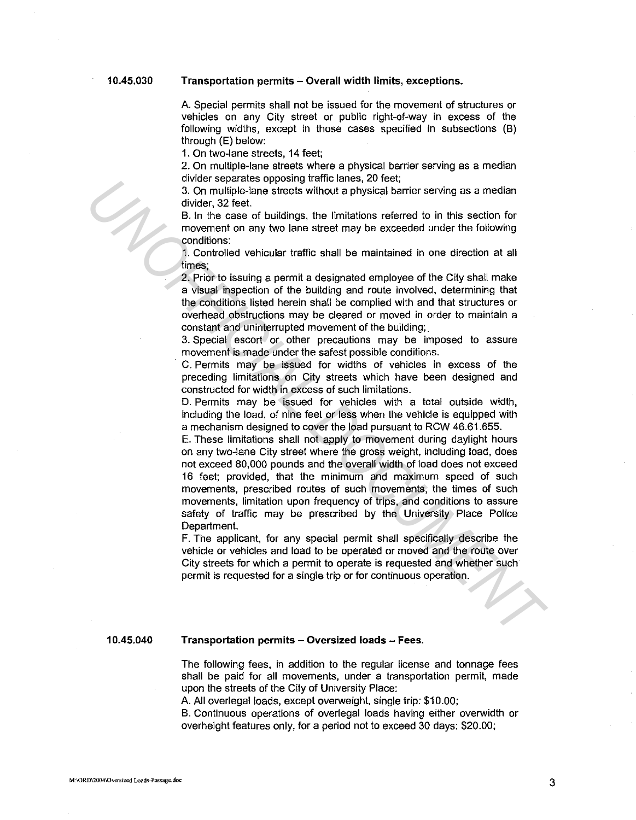### **Transportation permits - Overall width limits, exceptions.**

A. Special permits shall not be issued for the movement of structures or vehicles on any City street or public right-of-way in excess of the following widths, except in those cases specified in subsections (B) through (E) below:

1. On two-lane streets, 14 feet;

2. On multiple-lane streets where a physical barrier serving as a median divider separates opposing traffic lanes, 20 feet;

3. On multiple-lane streets without a physical barrier serving as a median divider, 32 feet.

B. In the case of buildings, the limitations referred to in this section for movement on any two lane street may be exceeded under the following conditions:

1. Controlled vehicular traffic shall be maintained in one direction at all times;

2. Prior to issuing a permit a designated employee of the City shall make a visual inspection of the building and route involved, determining that the conditions listed herein shall be complied with and that structures or overhead obstructions may be cleared or moved in order to maintain a constant and uninterrupted movement of the building;

3. Special escort or other precautions may be imposed to assure movement is made under the safest possible conditions.

C. Permits may be issued for widths of vehicles in excess of the preceding limitations on City streets which have been designed and constructed for width in excess of such limitations.

D. Permits may be issued for vehicles with a total outside width, including the load, of nine feet or less when the vehicle is equipped with a mechanism designed to cover the load pursuant to RCW 46.61.655.

E. These limitations shall not apply to movement during daylight hours on any two-lane City street where the gross weight, including load, does not exceed 80,000 pounds and the overall width of load does not exceed 16 feet; provided, that the minimum and maximum speed of such movements, prescribed routes of such movements, the times of such movements, limitation upon frequency of trips, and conditions to assure safety of traffic may be prescribed by the University Place Police Department. Son multiple-lane steets without applyising the case of the second of this section for the second of the metasta and the metasta of the metasta of the metasta of the metasta of the metasta of the metasta of the metasta of

F. The applicant, for any special permit shall specifically describe the vehicle or vehicles and load to be operated or moved and the route over City streets for which a permit to operate is requested and whether such permit is requested for a single trip or for continuous operation.

**10.45.040** 

### **Transportation permits - Oversized loads - Fees.**

The following fees, in addition to the regular license and tonnage fees shall be paid for all movements, under a transportation permit, made upon the streets of the City of University Place:

A. All overlegal loads, except overweight, single trip: \$10.00;

B. Continuous operations of overlegal loads having either overwidth or overheight features only, for a period not to exceed 30 days: \$20.00;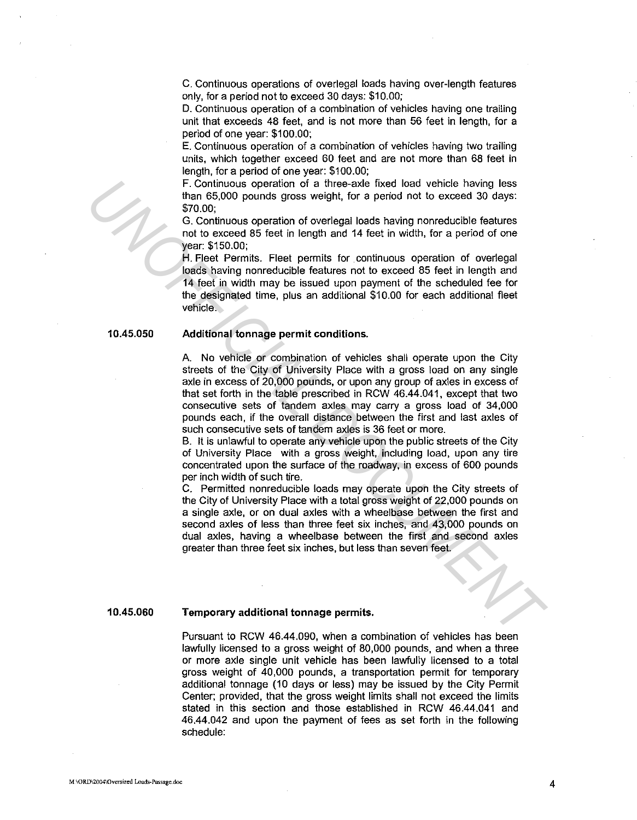C. Continuous operations of overlegal loads having over-length features only, for a period not to exceed 30 days: \$10.00;

D. Continuous operation of a combination of vehicles having one trailing unit that exceeds 48 feet, and is not more than 56 feet in length, for a period of one year: \$100.00;

E. Continuous operation of a combination of vehicles having two trailing units, which together exceed 60 feet and are not more than 68 feet in length, for a period of one year: \$100.00;

F. Continuous operation of a three-axle fixed load vehicle having less than 65,000 pounds gross weight, for a period not to exceed 30 days: \$70.00;

G. Continuous operation of overlegal loads having nonreducible features not to exceed 85 feet in length and 14 feet in width, for a period of one year: \$150.00;

H. Fleet Permits. Fleet permits for continuous operation of overlegal loads having nonreducible features not to exceed 85 feet in length and 14 feet in width may be issued upon payment of the scheduled fee for the designated time, plus an additional \$10.00 for each additional fleet vehicle.

#### **10.45.050 Additional tonnage permit conditions.**

A. No vehicle or combination of vehicles shall operate upon the City streets of the City of University Place with a gross load on any single axle in excess of 20,000 pounds, or upon any group of axles in excess of that set forth in the table prescribed in RCW 46.44.041, except that two consecutive sets of tandem axles may carry a gross load of 34,000 pounds each, if the overall distance between the first and last axles of such consecutive sets of tandem axles is 36 feet or more. F. Continuous operation of a three-axie fixed load vehicle having less<br>
16. Continuous operation of overlegal loads having nonreducible features<br>
2000;<br>
170,00;<br>
37. Continuous operation of overlegal loads having nonreduci

B. It is unlawful to operate any vehicle upon the public streets of the City of University Place with a gross weight, including load, upon any tire concentrated upon the surface of the roadway, in excess of 600 pounds per inch width of such tire.

C. Permitted nonreducible loads may operate upon the City streets of the City of University Place with a total gross weight of 22,000 pounds on a single axle, or on dual axles with a wheelbase between the first and second axles of less than three feet six inches, and 43,000 pounds on dual axles, having a wheelbase between the first and second axles greater than three feet six inches, but less than seven feet.

### **10.45.060**

### **Temporary additional tonnage permits.**

Pursuant to RCW 46.44.090, when a combination of vehicles has been lawfully licensed to a gross weight of 80,000 pounds, and when a three or more axle single unit vehicle has been lawfully licensed to a total gross weight of 40,000 pounds, a transportation permit for temporary additional tonnage (10 days or less) may be issued by the City Permit Center; provided, that the gross weight limits shall not exceed the limits stated in this section and those established in RCW 46.44.041 and 46.44.042 and upon the payment of fees as set forth in the following schedule: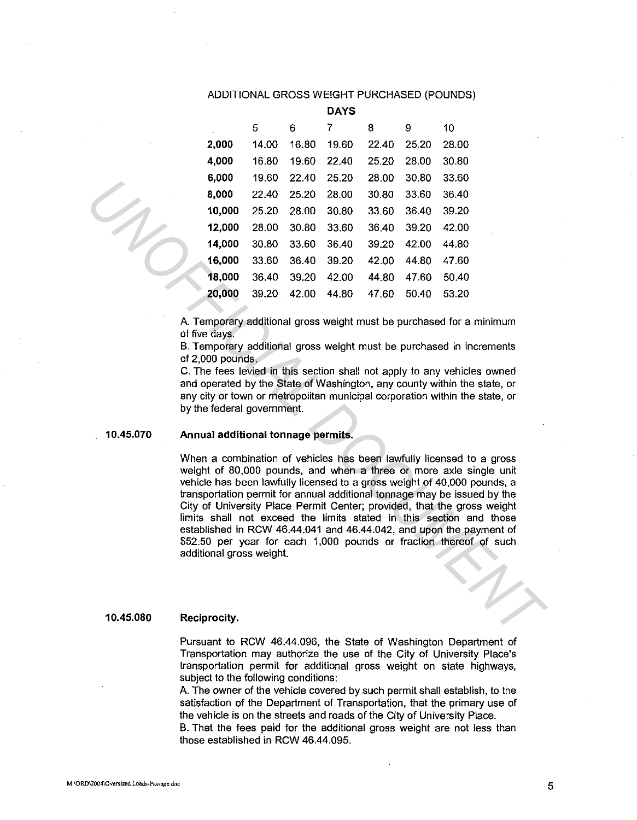## ADDITIONAL GROSS WEIGHT PURCHASED (POUNDS)

|        |       |       | <b>DAYS</b> |       |       |       |
|--------|-------|-------|-------------|-------|-------|-------|
|        | 5     | 6     | 7           | 8     | 9     | 10    |
| 2,000  | 14.00 | 16.80 | 19.60       | 22.40 | 25.20 | 28.00 |
| 4,000  | 16.80 | 19.60 | 22.40       | 25.20 | 28.00 | 30.80 |
| 6,000  | 19.60 | 22.40 | 25.20       | 28.00 | 30.80 | 33.60 |
| 8,000  | 22.40 | 25.20 | 28.00       | 30.80 | 33.60 | 36.40 |
| 10,000 | 25.20 | 28.00 | 30.80       | 33.60 | 36.40 | 39.20 |
| 12,000 | 28.00 | 30.80 | 33.60       | 36.40 | 39.20 | 42.00 |
| 14,000 | 30.80 | 33.60 | 36.40       | 39.20 | 42.00 | 44.80 |
| 16,000 | 33.60 | 36.40 | 39.20       | 42.00 | 44.80 | 47.60 |
| 18,000 | 36.40 | 39.20 | 42.00       | 44.80 | 47.60 | 50.40 |
| 20,000 | 39.20 | 42.00 | 44.80       | 47.60 | 50.40 | 53.20 |
|        |       |       |             |       |       |       |

A. Temporary additional gross weight must be purchased for a minimum of five days.

B. Temporary additional gross weight must be purchased in increments of 2,000 pounds.

C. The fees levied in this section shall not apply to any vehicles owned and operated by the State of Washington, any county within the state, or any city or town or metropolitan municipal corporation within the state, or by the federal government.

#### **10.45.070 Annual additional tonnage permits.**

When a combination of vehicles has been lawfully licensed to a gross weight of 80,000 pounds, and when a three or more axle single unit vehicle has been lawfully licensed to a gross weight of 40,000 pounds, a transportation permit for annual additional tonnage may be issued by the City of University Place Permit Center; provided, that the gross weight limits shall not exceed the limits stated in this section and those established in RCW 46.44.041 and 46.44.042, and upon the payment of \$52.50 per year for each 1,000 pounds or fraction thereof of such additional gross weight. 4,000 25.240 25.240 25.00 30.80 33.60 35.60 30.80 33.60 35.60<br> **14,000** 25.20 28.00 30.80 33.60 36.40 39.20<br> **14,000** 25.20 28.00 30.80 33.60 35.40 39.20<br> **14,000** 30.80 33.60 35.40 39.20 42.00 44.80<br> **14,000** 30.80 33.60

#### **10.45.080 Reciprocity.**

Pursuant to RCW 46.44.096, the State of Washington Department of Transportation may authorize the use of the City of University Place's transportation permit for additional gross weight on state highways, subject to the following conditions:

A. The owner of the vehicle covered by such permit shall establish, to the satisfaction of the Department of Transportation, that the primary use of the vehicle is on the streets and roads of the City of University Place.

B. That the fees paid for the additional gross weight are not less than those established in RCW 46.44.095.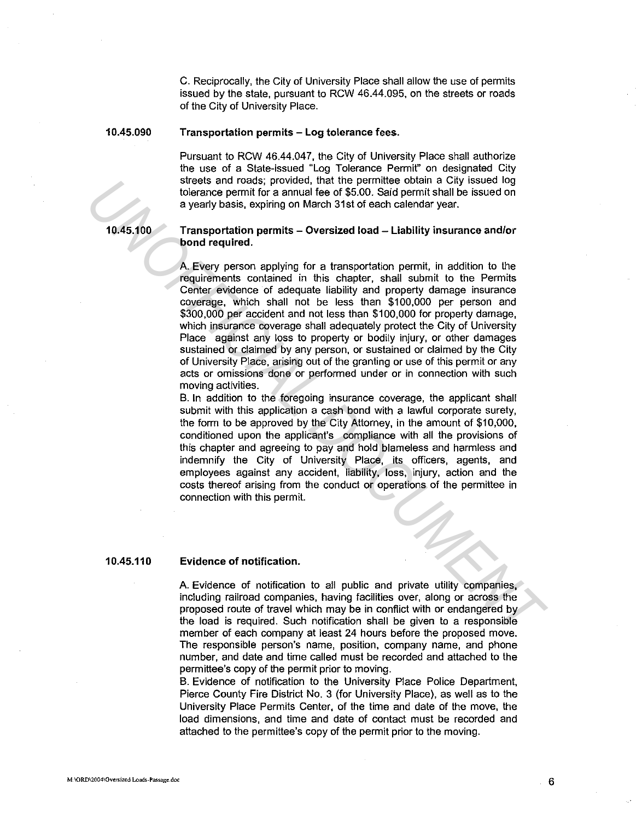C. Reciprocally, the City of University Place shall allow the use of permits issued by the state, pursuant to RCW 46.44.095, on the streets or roads of the City of University Place.

#### **10.45.090 Transportation permits - Log tolerance fees.**

Pursuant to RCW 46.44.047, the City of University Place shall authorize the use of a State-issued "Log Tolerance Permit" on designated City streets and roads; provided, that the permittee obtain a City issued log tolerance permit for a annual fee of \$5.00. Said permit shall be issued on a yearly basis, expiring on March 31st of each calendar year.

**10.45.100** 

## **Transportation permits - Oversized load - Liability insurance and/or bond required.**

A. Every person applying for a transportation permit, in addition to the requirements contained in this chapter, shall submit to the Permits Center evidence of adequate liability and property damage insurance coverage, which shall not be less than \$100,000 per person and \$300,000 per accident and not less than \$100,000 for property damage, which insurance coverage shall adequately protect the City of University Place against any loss to property or bodily injury, or other damages sustained or claimed by any person, or sustained or claimed by the City of University Place, arising out of the granting or use of this permit or any acts or omissions done or performed under or in connection with such moving activities. Iterate and roads; provided, that the permittee obtain a City issued log<br>tolerance permit for a amual lee of \$5.00. Said permit shall be issued on<br>a yearly basis, expliring on March 31st of each calendar year.<br>**Transportat** 

B. In addition to the foregoing insurance coverage, the applicant shall submit with this application a cash bond with a lawful corporate surety, the form to be approved by the City Attorney, in the amount of \$10,000, conditioned upon the applicant's compliance with all the provisions of this chapter and agreeing to pay and hold blameless and harmless and indemnify the City of University Place, its officers, agents, and employees against any accident, liability, loss, injury, action and the costs thereof arising from the conduct or operations of the permittee in connection with this permit.

#### **10.45.110 Evidence of notification.**

A. Evidence of notification to all public and private utility companies, including railroad companies, having facilities over, along or across the proposed route of travel which may be in conflict with or endangered by the load is required. Such notification shall be given to a responsible member of each company at least 24 hours before the proposed move. The responsible person's name, position, company name, and phone number, and date and time called must be recorded and attached to the permittee's copy of the permit prior to moving.

B. Evidence of notification to the University Place Police Department, Pierce County Fire District No. 3 (for University Place), as well as to the University Place Permits Center, of the time and date of the move, the load dimensions, and time and date of contact must be recorded and attached to the permittee's copy of the permit prior to the moving.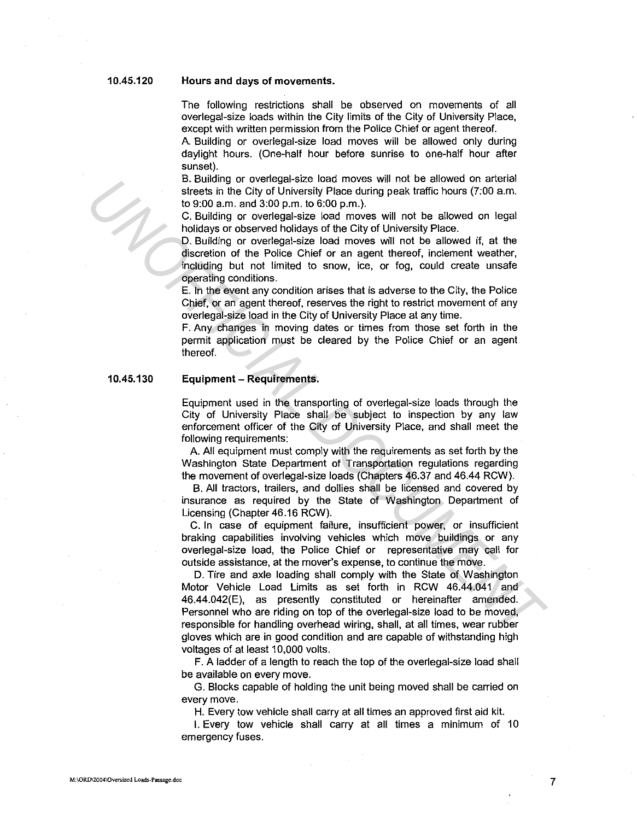### **10.45.120**

### **Hours and days of movements.**

The following restrictions shall be observed on movements of all overlegal-size loads within the City limits of the City of University Place, except with written permission from the Police Chief or agent thereof.

A. Building or overlegal-size load moves will be allowed only during daylight hours. (One-half hour before sunrise to one-half hour after sunset).

B. Building or overlegal-size load moves will not be allowed on arterial streets in the City of University Place during peak traffic hours (7:00 a.m. to 9:00 a.m. and 3:00 p.m. to 6:00 p.m.).

C. Building or overlegal-size load moves will not be allowed on legal holidays or observed holidays of the City of University Place.

D. Building or overlegal-size load moves will not be allowed if, at the discretion of the Police Chief or an agent thereof, inclement weather, including but not limited to snow, ice, or fog, could create unsafe operating conditions.

E. In the event any condition arises that is adverse to the City, the Police Chief, or an agent thereof, reserves the right to restrict movement of any overlegal-size load in the City of University Place at any time.

F. Any changes in moving dates or times from those set forth in the permit application must be cleared by the Police Chief or an agent thereof.

#### **10.45.130 Equipment - Requirements.**

Equipment used in the transporting of overlegal-size loads through the City of University Place shall be subject to inspection by any law enforcement officer of the City of University Place, and shall meet the following requirements:

A. All equipment must comply with the requirements as set forth by the Washington State Department of Transportation regulations regarding the movement of overlegal-size loads (Chapters 46.37 and 46.44 RCW).

B. All tractors, trailers, and dollies shall be licensed and covered by insurance as required by the State of Washington Department of Licensing (Chapter 46.16 RCW).

C. In case of equipment failure, insufficient power, or insufficient braking capabilities involving vehicles which move buildings or any overlegal-size load, the Police Chief or representative may call for outside assistance, at the mover's expense, to continue the move.

D. Tire and axle loading shall comply with the State of Washington Motor Vehicle Load Limits as set forth in RCW 46.44.041 and 46.44.042(E), as presently constituted or hereinafter amended. Personnel who are riding on top of the overlegal-size load to be moved, responsible for handling overhead wiring, shall, at all times, wear rubber gloves which are in good condition and are capable of withstanding high voltages of at least 10,000 volts. **Channel of overlage size of any find to the slower of any film of the slower of any and 3:00 a.m.**<br> **Undeby or observed buildings of the Chy of Dunch in the slower of the Chy of Dan,**<br> **Undeby and 3:00 p.m.** the Chy of Du

> **F.** A ladder of a length to reach the top of the overlegal-size load shall be available on every move.

> G. Blocks capable of holding the unit being moved shall be carried on every move.

**H.** Every tow vehicle shall carry at all limes an approved first aid kit.

I. Every tow vehicle shall carry at all times a minimum of 10 emergency fuses.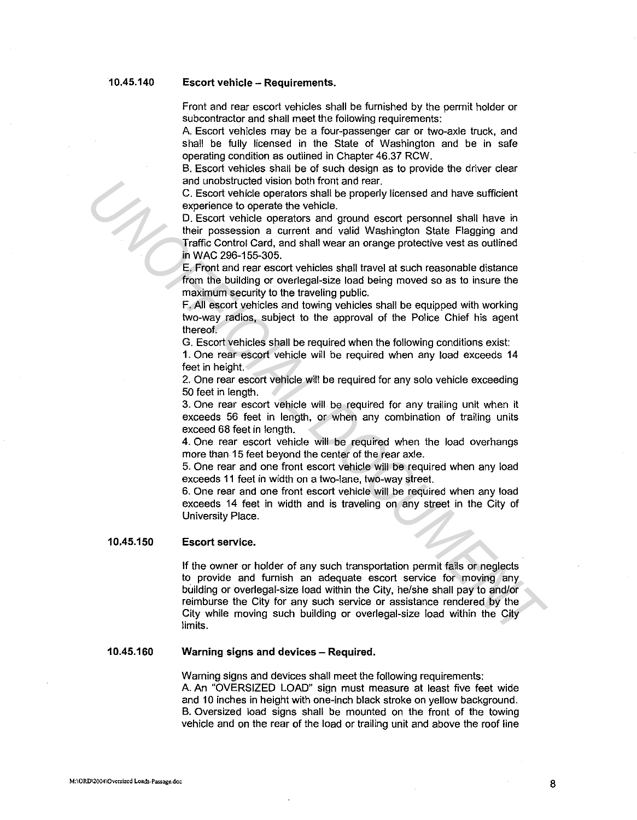#### **10.45.140 Escort vehicle - Requirements.**

Front and rear escort vehicles shall be furnished by the permit holder or subcontractor and shall meet the following requirements:

A. Escort vehicles may be a four-passenger car or two-axle truck, and shall be fully licensed in the State of Washington and be in safe operating condition as outlined in Chapter 46.37 RCW.

B. Escort vehicles shall be of such design as to provide the driver clear and unobstructed vision both front and rear.

C. Escort vehicle operators shall be properly licensed and have sufficient experience to operate the vehicle.

D. Escort vehicle operators and ground escort personnel shall have in their possession a current and valid Washington State Flagging and Traffic Control Card, and shall wear an orange protective vest as outlined in WAC 296-155-305.

E. Front and rear escort vehicles shall travel at such reasonable distance from the building or overlegal-size load being moved so as to insure the maximum security to the traveling public.

F. All escort vehicles and towing vehicles shall be equipped with working two-way radios, subject to the approval of the Police Chief his agent thereof.

G. Escort vehicles shall be required when the following conditions exist:

1. One rear escort vehicle will be required when any load exceeds 14 feet in height.

2. One rear escort vehicle will be required for any solo vehicle exceeding 50 feet in length.

3. One rear escort vehicle will be required for any trailing unit when it exceeds 56 feet in length, or when any combination of trailing units exceed 68 feet in length.

4. One rear escort vehicle will be required when the load overhangs more than 15 feet beyond the center of the rear axle.

5. One rear and one front escort vehicle will be required when any load exceeds 11 feet in width on a two-lane, two-way street.

6. One rear and one front escort vehicle will be required when any load exceeds 14 feet in width and is traveling on any street in the City of University Place.

#### **10.45.150 Escort service.**

If the owner or holder of any such transportation permit fails or neglects to provide and furnish an adequate escort service for moving any building or overlegal-size load within the City, he/she shall pay to and/or reimburse the City for any such service or assistance rendered by the City while moving such building or overlegal-size load within the City limits. and unobstructed vision both front and rear.<br>
2. Escort vehicle operators shall be properly licensed and have sufficient<br>
2. Escort vehicle operators and ground escort personnel shall have in<br>
D. Escort vehicle operators a

#### **10.45.160 Warning signs and devices – Required.**

Warning signs and devices shall meet the following requirements: A. An "OVERSIZED LOAD" sign must measure at least five feet wide and 10 inches in height with one-inch black stroke on yellow background. B. Oversized load signs shall be mounted on the front of the towing vehicle and on the rear of the load or trailing unit and above the roof line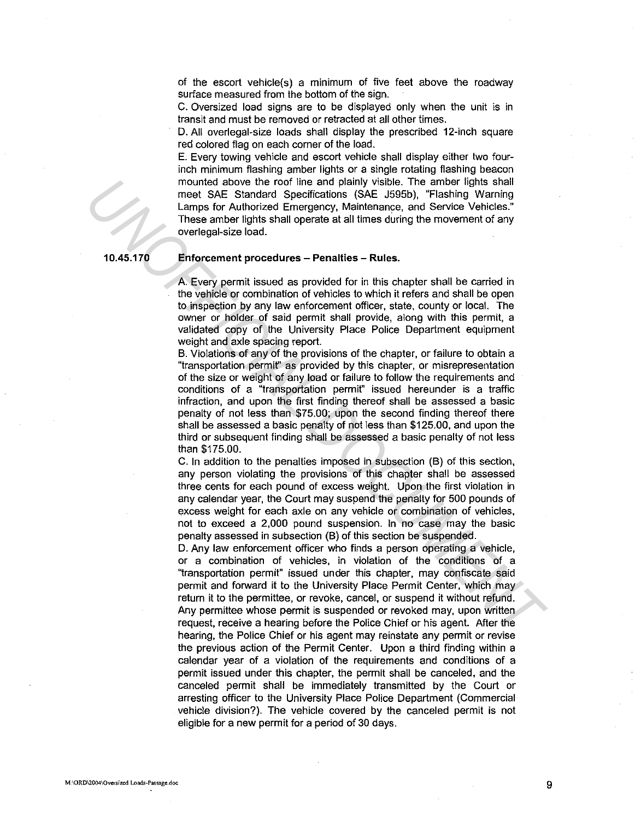of the escort vehicle{s) a minimum of five feet above the roadway surface measured from the bottom of the sign.

C. Oversized load signs are to be displayed only when the unit is in transit and must be removed or retracted at all other times.

D. All overlegal-size loads shall display the prescribed 12-inch square red colored flag on each corner of the load.

E. Every towing vehicle and escort vehicle shall display either two fourinch minimum flashing amber lights or a single rotating flashing beacon mounted above the roof line and plainly visible. The amber lights shall meet SAE Standard Specifications (SAE J595b), "Flashing Warning Lamps for Authorized Emergency, Maintenance, and Service Vehicles." These amber lights shall operate at all times during the movement of any overlegal-size load.

**10.45.170** 

## **Enforcement procedures - Penalties - Rules.**

A. Every permit issued as provided for in this chapter shall be carried in the vehicle or combination of vehicles to which it refers and shall be open to inspection by any law enforcement officer, state, county or local. The owner or holder of said permit shall provide, along with this permit, a validated copy of the University Place Police Department equipment weight and axle spacing report.

B. Violations of any of the provisions of the chapter, or failure to obtain a "transportation permit" as provided by this chapter, or misrepresentation of the size or weight of any load or failure to follow the requirements and conditions of a "transportation permit" issued hereunder is a traffic infraction, and upon the first finding thereof shall be assessed a basic penalty of not less than \$75.00; upon the second finding thereof there shall be assessed a basic penalty of not less than \$125.00, and upon the third or subsequent finding shall be assessed a basic penalty of not less than \$175.00. monted above the roof ine and plainly visible. The ambor lights shall properties that the properties and Service CHAC LISS CRIP (Large the Properties CHAC LISS CRIP (These ambor lights shall operate at all times during the

C. In addition to the penalties imposed in subsection (B) of this section, any person violating the provisions of this chapter shall be assessed three cents for each pound of excess weight. Upon the first violation in any calendar year, the Court may suspend the penalty for 500 pounds of excess weight for each axle on any vehicle or combination of vehicles, not to exceed a 2,000 pound suspension. In no case may the basic penalty assessed in subsection (B) of this section be suspended.

D. Any law enforcement officer who finds a person operating a vehicle, or a combination of vehicles, in violation of the conditions of a '1ransportation permit" issued under this chapter, may confiscate said permit and forward it to the University Place Permit Center, which may return it to the permittee, or revoke, cancel, or suspend it without refund. Any permittee whose permit is suspended or revoked may, upon written request, receive a hearing before the Police Chief or his agent. After the hearing, the Police Chief or his agent may reinstate any permit or revise the previous action of the Permit Center. Upon a third finding within a calendar year of a violation of the requirements and conditions of a permit issued under this chapter, the permit shall be canceled, and the canceled permit shall be immediately transmitted by the Court or arresting officer to the University Place Police Department (Commercial vehicle division?). The vehicle covered by the canceled permit is not eligible for a new permit for a period of 30 days.